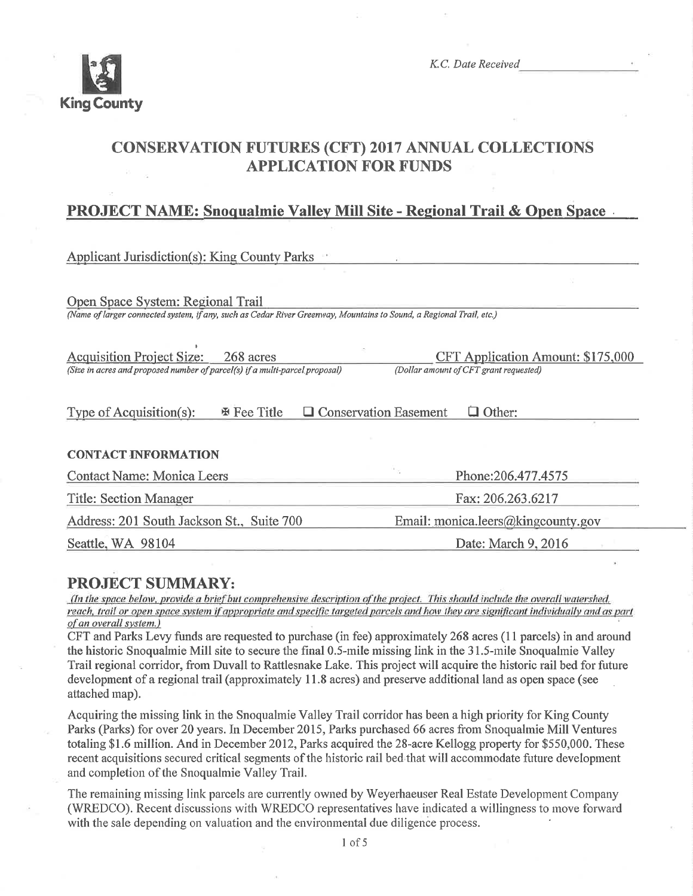

K.C. Date Received

# CONSERVATION FUTURES (CFT) 2017 ANNUAL COLLECTIONS **APPLICATION FOR FUNDS**

# PROJECT NAME: Snoqualmie Vallev Mill Site - Reeional Trail & Open Space .

| <b>Applicant Jurisdiction(s): King County Parks</b>                                                                 |                                               |
|---------------------------------------------------------------------------------------------------------------------|-----------------------------------------------|
|                                                                                                                     |                                               |
| Open Space System: Regional Trail                                                                                   |                                               |
| (Name of larger connected system, if any, such as Cedar River Greenway, Mountains to Sound, a Regional Trail, etc.) |                                               |
| <b>Acquisition Project Size:</b><br>268 acres                                                                       | <b>CFT Application Amount: \$175,000</b>      |
| (Size in acres and proposed number of parcel(s) if a multi-parcel proposal)                                         | (Dollar amount of CFT grant requested)        |
| <b>EX Fee Title</b><br>Type of Acquisition(s):                                                                      | $\Box$ Conservation Easement<br>$\Box$ Other: |
| <b>CONTACT INFORMATION</b>                                                                                          |                                               |
| <b>Contact Name: Monica Leers</b>                                                                                   | Phone: 206.477.4575                           |
| <b>Title: Section Manager</b>                                                                                       | Fax: 206.263.6217                             |
| Address: 201 South Jackson St., Suite 700                                                                           | Email: monica.leers@kingcounty.gov            |
| Seattle, WA 98104<br>Date: March 9, 2016                                                                            |                                               |

**PROJECT SUMMARY:**<br>(In the space below, provide a brief but comprehensive description of the project. This should include the overall watershed, reach, trail or open space system if appropriate and specific targeted parcels and how they are significant individually and as part of an overall system.)

CFT and Parks Levy funds are requested to purchase (in fee) approximately 268 acres (11 parcels) in and around the historic Snoqualmie Mill site to secure the final 0.5-mile missing link in the 31.5-mile Snoqualmie Valley Trail regional corridor, from Duvall to Rattlesnake Lake. This project will acquire the historic rail bed for future development of a regional trail (approximately 1 1.8 acres) and preserve additional land as open space (see attached map).

Acquiring the missing link in the Snoqualmie Valley Trail corridor has been a high priority for King County Parks (Parks) for over 20 years. In December 2015, Parks purchased 66 acres from Snoqualmie Mill Ventures totaling \$1.6 million. And in December 2012, Parks acquired the 28-acre Kellogg property for \$550,000. These recent acquisitions secured critical segments of the historic rail bed that will accommodate future developrnent and cornpletion of the Snoqualmie Valley Trail.

The remaining missing link parcels are currently owned by Weyerhaeuser Real Estate Development Company (WREDCO). Recent discussions with WREDCO representatives have indicated a willingness to move forward with the sale depending on valuation and the environmental due diligence process.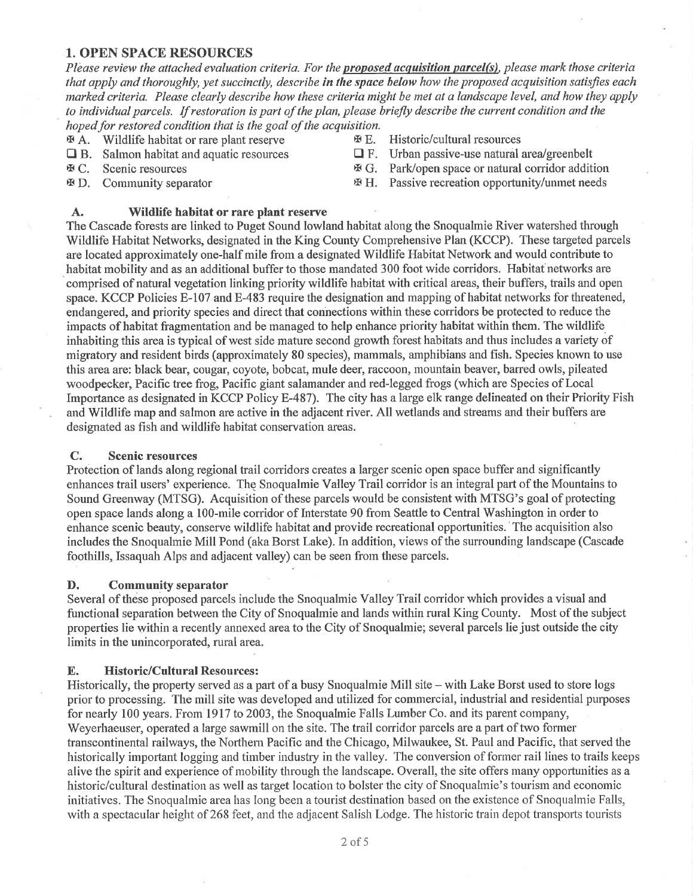#### 1. OPEN SPACE RESOURCES

Please review the attached evaluation criteria. For the proposed acquisition parcel(s), please mark those criteria that apply and thoroughly, yet succinctly, describe in the space below how the proposed acquisition satisfies each morked criteria. Please clearly describe how these criteria nùght be met at a landscape level, and how they apply to individual parcels. If restoration is part of the plan, please briefly describe the current condition and the hoped for restored condition that is the goal of the acquisition.

- 
- $\mathcal{F}$  A. Wildlife habitat or rare plant reserve  $\mathcal{F}$  E. Historic/cultural resources <br>  $\Box$  F. Urban passive-use natural area/greenbelt  $\Box$  B. Salmon habitat and aquatic resources  $\Box$  F.
- 
- 

#### A. Wildlife habitat or rare plant reserve

- 
- 
- **X C.** Scenic resources **x** G. Park/open space or natural corridor addition
- $\mathfrak{B}$  D. Community separator  $\mathfrak{B}$  H. Passive recreation opportunity/unmet needs

The Cascade forests are linked to Puget Sound lowland habitat along the Snoqualmie River watershed through Wildlife Habitat Networks, designated in the King County Comprehensive Plan (KCCP). These targeted parcels are located approximately one-half mile from a designated Wildlife Habitat Network and would contribute to habitat mobility and as an additional buffer to those mandated 300 foot wide corridors. Habitat networks are comprised of natural vegetation linking priority wildlife habitat with critical areas, their buffers, trails and open space. KCCP Policies E-107 and E-483 require the designation and mapping of habitat networks for threatened, endangered, and priority species and direct that connections within these coridors be protected to reduce the impacts of habitat fragmentation and be managed to help enhance priority habitat within them. The wildlife inhabiting this area is typical of west side mature second growth forest habitats and thus includes a variety of migratory and resident birds (approximately 80 species), mammals, arnphibians and fish. Species known to use this area are: black bear, cougar, coyote, bobcat, mule deer, raccoon, mountain beaver, barred owls, pileated woodpecker, Pacific tree frog, Pacific giant salamander and red-legged frogs (which are Species of Local Importance as designated in KCCP Policy E-487). The city has a large elk range delineated on their Priority Fish and Wildlife map and salmon are active in the adjacent river. All wetlands and streams and their buffers are designated as fish and wildlife habitat conservation areas.

#### C. Scenic resources

Protection of lands along regional trail corridors creates a larger scenic open space buffer and significantly enhances trail users' experience. The Snoqualmie Valley Trail corridor is an integral part of the Mountains to Sound Greenway (MTSG). Acquisition of these parcels would be consistent with MTSG's goal of protecting open space lands along a 100-mile corridor of Interstate 90 from Seattle to Central Washington in order to enhance scenic beauty, conserve wildlife habitat and provide recreational opportunities.'The acquisition also includes the Snoquahnie Mill Pond (aka Borst Lake). In addition, views of the surounding landscape (Cascade foothills, Issaquah Alps and adjacent valley) can be seen from these parcels.

#### D. Community separator

Several of these proposed parcels include the Snoqualmie Valley Trail corridor which provides a visual and functional separation between the City of Snoqualmie and lands within rural King County. Most of the subject properties lie within a recently annexed area to the City of Snoqualmie; several parcels lie just outside the city limits in the unincorporated, rural area.

#### E. Historic/Cultural Resources:

Historically, the property served as a part of a busy Snoqualmie Mill site - with Lake Borst used to store logs prior to processing. The mill site was developed and utilized for commercial, industrial and residential purposes for nearly 100 years. From 1917 to 2003, the Snoqualmie Falls Lumber Co. and its parent company, Weyerhaeuser, operated a large sawmill on the site. The trail corridor parcels are a part of two former transcontinental railways, the Northern Pacific and the Chicago, Milwaukee, St. Paul and Pacific, that served the historically important logging and timber industry in the valley. The conversion of former rail lines to trails keeps alive the spirit and experience of mobility through the landscape. Overall, the site offers many opportunities as a historic/cultural destination as well as target location to bolster the city of Snoqualmie's tourism and economic initiatives. The Snoqualmie area has long been a tourist destination based on the existence of Snoqualmie Falls, with a spectacular height of 268 feet, and the adjacent Salish Lodge. The historic train depot transports tourists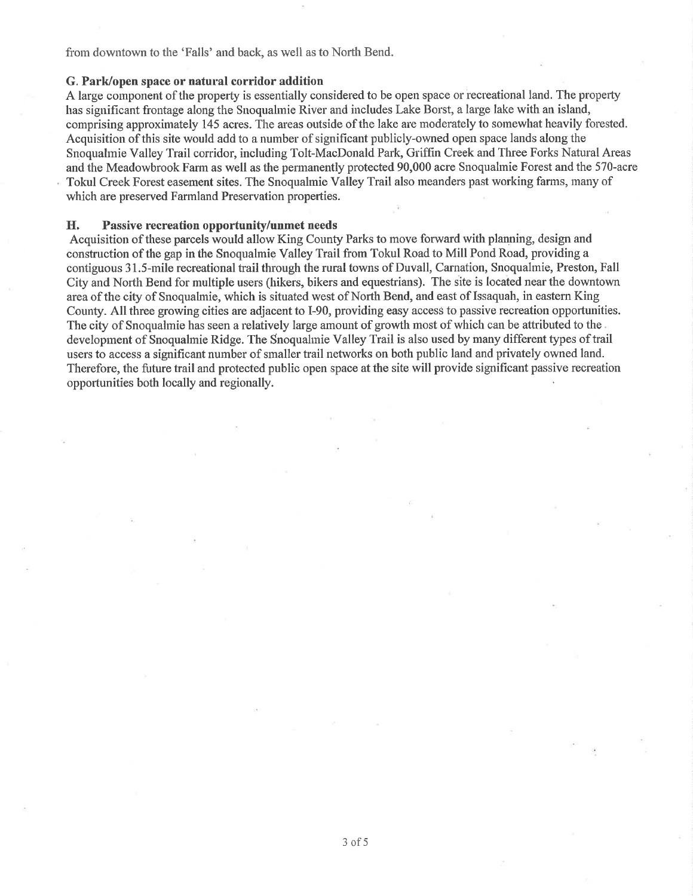from downtown to the 'Falls' and back, as well as to North Bend.

#### G. Park/open space or natural corridor addition

A large component of the property is essentially considered to be open space or recreational land. The property has significant frontage along the Snoquahnie River and includes Lake Borst, a large lake with an island, comprising approximately 145 acres. The areas outside of the lake are rnoderately to somewhat heavily forested. Acquisition of this site would add to a number of significant publicly-owned open space lands along the Snoquahnie Valley Trail coridor, including Tolt-MacDonald Park, Griffrn Creek and Three Forks Natural Areas and the Meadowbrook Farm as well as the permanently protected 90,000 acre Snoquahnie Forest and the 570-acre Tokul Creek Forest easement sites. The Snoqualmie Valley Trail also meanders past working farms, many of which are preserved Farmland Preservation properties.

#### H. Passive recreation opportunity/unmet needs

Acquisition of these parcels would allow King County Parks to move forward with planning, design and construction of the gap in the Snoqualmie Valley Trail from Tokul Road to Mill Pond Road, providing a contiguous 31.5-mile recreational trail through the rural towns of Duvall, Carnation, Snoqualmie, Preston, Fall City and North Bend for multiple users (hikers, bikers and equestrians). The site is located near the downtown area of the city of Snoqualmie, which is situated west of North Bend, and east of Issaquah, in eastern King County. All three growing cities are adjacent to I-90, providing easy access to passive recreation opportunities. The city of Snoqualmie has seen a relatively large amount of growth most of which can be attributed to the development of Snoquahnie Ridge. The Snoquahnie Valley Trail is also used by many different types of trail users to access a significant number of smaller trail networks on both public land and privately owned land. Therefore, the future trail and protected public open space at the site will provide significant passive recreation opportunities both locally and regionally.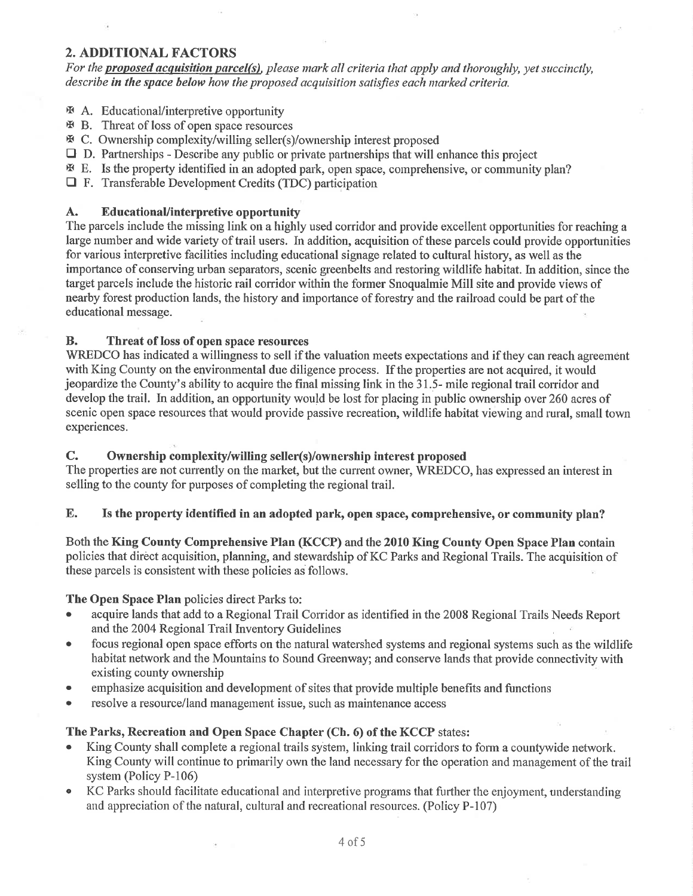## 2. ADDITIONAL FACTORS

For the **proposed acquisition parcel(s)**, please mark all criteria that apply and thoroughly, yet succinctly, describe in the space below how the proposed acquisition satisfies each marked criteria.

- E A. Educational/interpretive opportunity
- $\mathfrak{B}$  B. Threat of loss of open space resources
- x C. Ownership cornplexity/willing seller(s)/ownership interest proposed
- $\Box$  D. Partnerships Describe any public or private partnerships that will enhance this project
- x E. Is the properly identified in an adopted park, open space, comprehensive, or community plan?
- $\Box$  F. Transferable Development Credits (TDC) participation

### A. EducationaUinterpretive opportunity

The parcels include the missing link on a highly used corridor and provide excellent opportunities for reaching a large number and wide variety of trail users. In addition, acquisition of these parcels could provide opportunities for various interpretive facilities including educational signage related to cultural history, as well as the importance of conserving urban separators, scenic greenbelts and restoring wildlife habitat. In addition, since the target parcels include the historic rail corridor within the fonner Snoquahnie Mill site and provide views of nearby forest production lands, the history and importance of forestry and the railroad could be part of the educational message.

#### B. Threat of loss of open space resources

WREDCO has indicated a willingness to sell if the valuation meets expectations and if they can reach agreement with King County on the environmental due diligence process. If the properties are not acquired, it would jeopardize the County's ability to acquire the final missing link in the 31.5- mile regional trail corridor and develop the trail. In addition, an opportunity would be lost for placing in public ownership over 260 acres of scenic open space resources that would provide passive recreation, wildlife habitat viewing and rural, small town experiences.

## C. Ownership complexity/willing seller(s)/ownership interest proposed

The properties are not currently on the market, but the current owner, WREDCO, has expressed an interest in selling to the county for purposes of completing the regional trail.

## E. Is the property identified in an adopted park, open space, comprehensive, or community plan?

Both the King County Comprehensive PIan (KCCP) and the 2010 King County Open Space PIan contain policies that dirèct acquisition, planning, and stewardship of KC Parks and Regional Trails. The acqúisition of these parcels is consistent with these policies as follows.

#### The Open Space Plan policies direct Parks to:

- acquire lands that add to a Regional Trail Corridor as identified in the 2008 Regional Trails Needs Report and the 2004 Regional Trail Inventory Guidelines
- o focus regional open space efforts on the natural watershed systems and regional systems such as the wildlife habitat network and the Mountains to Sound Greenway; and conserye lands that provide connectivity with existing county ownership
- emphasize acquisition and development of sites that provide multiple benefits and functions
- o resolve a resource/land management issue, such as maintenance access

## The Parks, Recreation and Open Space Chapter (Ch. 6) of the KCCP states:

- King County shall complete a regional trails system, linking trail corridors to form a countywide network. King County will continue to primarily own the land necessary for the operation and management of the trail system (Policy P-106)
- KC Parks should facilitate educational and interpretive programs that further the enjoyment, understanding and appreciation of the natural, cultural and recreational resources. (Policy P-107)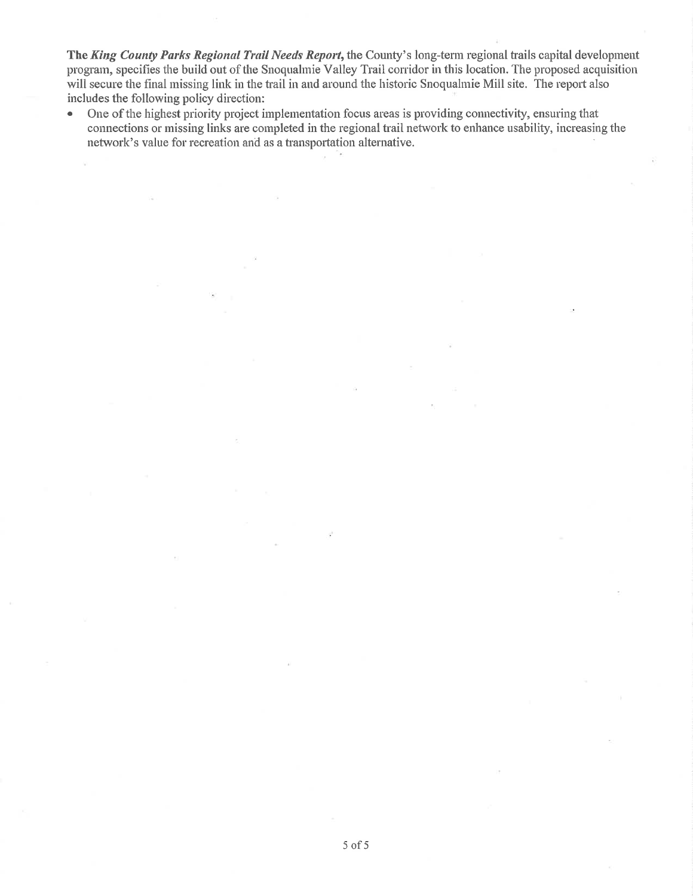The King County Parks Regional Trail Needs Report, the County's long-term regional trails capital development program, specifies the build out of the Snoqualmie Valley Trail corridor in this location. The proposed acquisition will secure the final missing link in the trail in and around the historic Snoqualmie Mill site. The report also includes the following policy direction:

• One of the highest priority project implementation focus areas is providing connectivity, ensuring that connections or missing links are completed in the regional trail network to enhance usability, increasing the network's value for recreation and as a transportation alternative.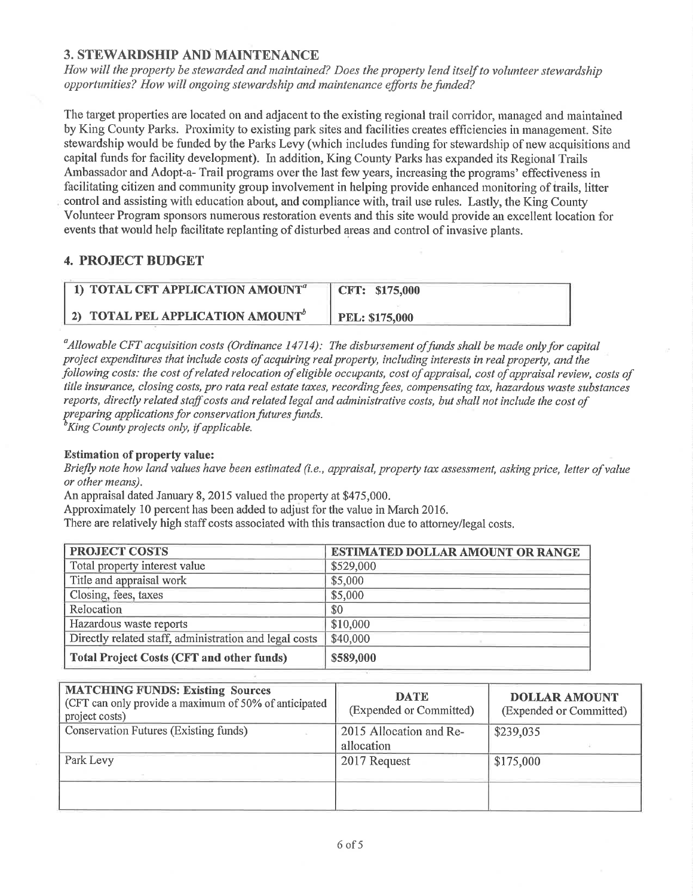# 3. STEWARDSHIP AND MAINTENANCE

How will the property be stewarded and maintained? Does the property lend itself to volunteer stewardship opportunities? How will ongoing stewardship and maintenance efforts be funded?

The target properties are located on and adjacent to the existing regional trail corridor, managed and maintained by King County Parks. Proximity to existing park sites and facilities creates efficiencies in management. Site stewardship would be funded by the Parks Levy (which includes funding for stewardship of new acquisitions and capital funds for facility development). hr addition, King County Parks has expanded its Regional Trails Ambassador and Adopt-a- Trail programs over the last few years, increasing the programs' effectiveness in facilitating citizen and community group involvement in helping provide enhanced monitoring of trails, litter control and assisting with education about, and cornpliance with, trail use rules. Lastly, the King County Volunteer Program sponsors numerous restoration events and this site would provide an excellent location for events that would help facilitate replanting of disturbed areas and control of invasive plants.

# 4. PROJECT BUDGET

| 1) TOTAL CFT APPLICATION AMOUNT <sup>a-</sup>   | CFT: \$175,000        |
|-------------------------------------------------|-----------------------|
| $(2)$ TOTAL PEL APPLICATION AMOUNT <sup>o</sup> | <b>PEL: \$175,000</b> |

<sup>a</sup>Allowable CFT acquisition costs (Ordinance 14714): The disbursement of funds shall be made only for capital project expenditures that include costs of acquiring real property, including interests in real property, and the following costs: the cost of related relocation of eligible occupants, cost of appraisal, cost of appraisal review, costs of title insurance, closing costs, pro rata real estate taxes, recording fees, compensating tax, hazardous waste substances reports, directly related staff costs and related legal and administrative costs, but shall not include the cost of preparing applications for conservation futures funds.<br><sup>b</sup>King County projects only, if applicable.

#### Estimation of property value:

Briefly note how land values have been estimated (i.e., appraisal, property tax assessment, asking price, letter of value or other means).

An appraisal dated January 8, 2015 valued the property at \$475,000.

Approximately 10 percent has been added to adjust for the value in March 2016.

There are relatively high staff costs associated with this transaction due to attorney/legal costs.

| <b>PROJECT COSTS</b>                                   | ESTIMATED DOLLAR AMOUNT OR RANGE |
|--------------------------------------------------------|----------------------------------|
| Total property interest value                          | \$529,000                        |
| Title and appraisal work                               | \$5,000                          |
| Closing, fees, taxes                                   | \$5,000                          |
| Relocation                                             | \$0                              |
| Hazardous waste reports                                | \$10,000                         |
| Directly related staff, administration and legal costs | \$40,000                         |
| <b>Total Project Costs (CFT and other funds)</b>       | \$589,000                        |

| <b>MATCHING FUNDS: Existing Sources</b><br>(CFT can only provide a maximum of 50% of anticipated<br>project costs) | <b>DATE</b><br>(Expended or Committed) | <b>DOLLAR AMOUNT</b><br>(Expended or Committed) |
|--------------------------------------------------------------------------------------------------------------------|----------------------------------------|-------------------------------------------------|
| <b>Conservation Futures (Existing funds)</b>                                                                       | 2015 Allocation and Re-<br>allocation  | \$239,035                                       |
| Park Levy                                                                                                          | 2017 Request                           | \$175,000                                       |
|                                                                                                                    |                                        |                                                 |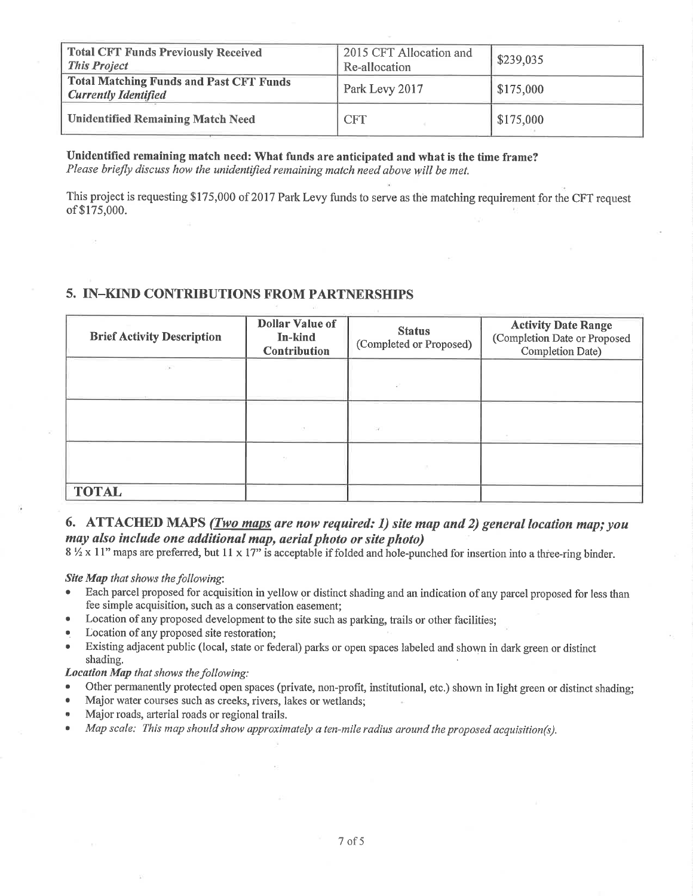| <b>Total CFT Funds Previously Received</b><br><b>This Project</b>             | 2015 CFT Allocation and<br>Re-allocation | \$239,035 |
|-------------------------------------------------------------------------------|------------------------------------------|-----------|
| <b>Total Matching Funds and Past CFT Funds</b><br><b>Currently Identified</b> | Park Levy 2017                           | \$175,000 |
| <b>Unidentified Remaining Match Need</b>                                      | <b>CFT</b>                               | \$175,000 |

Unidentified remaining match need: What funds are anticipated and what is the time frame? Please briefly discuss how the unidentifìed remaining match need above will be met.

This project is requesting \$175,000 of 2017 Park Levy funds to serve as the matching requirement for the CFT request of \$175,000.

# 5. IN-KIND CONTRIBUTIONS FROM PARTNERSHIPS

| <b>Brief Activity Description</b> | <b>Dollar Value of</b><br>In-kind<br><b>Contribution</b> | <b>Status</b><br>(Completed or Proposed) | <b>Activity Date Range</b><br>(Completion Date or Proposed<br><b>Completion Date)</b> |
|-----------------------------------|----------------------------------------------------------|------------------------------------------|---------------------------------------------------------------------------------------|
| 74                                |                                                          |                                          |                                                                                       |
|                                   | $\sim$                                                   | ital.                                    |                                                                                       |
|                                   |                                                          |                                          |                                                                                       |
| <b>TOTAL</b>                      |                                                          |                                          |                                                                                       |

#### 6. ATTACHED MAPS (Two maps are now required: 1) site map and 2) general location map; you may also include one additional map, aerial photo or site photo)

 $8\%$  x 11" maps are preferred, but 11 x 17" is acceptable if folded and hole-punched for insertion into a three-ring binder.

Site Map that shows the following:

- Each parcel proposed for acquisition in yellow or distinct shading and an indication of any parcel proposed for less than fee simple acquisition, such as a conservation easement;
- Location of any proposed development to the site such as parking, trails or other facilities;
- Location of any proposed site restoration;
- Existing adjacent public (local, state or federal) parks or open spaces labeled and shown in dark green or distinct shading.

Location Map that shows the following:

- Other permanently protected open spaces (private, non-profit, institutional, etc.) shown in light green or distinct shading;
- Major water courses such as creeks, rivers, lakes or wetlands;
- Major roads, arterial roads or regional trails.
- $\bullet$  Map scale: This map should show approximately a ten-mile radius around the proposed acquisition(s).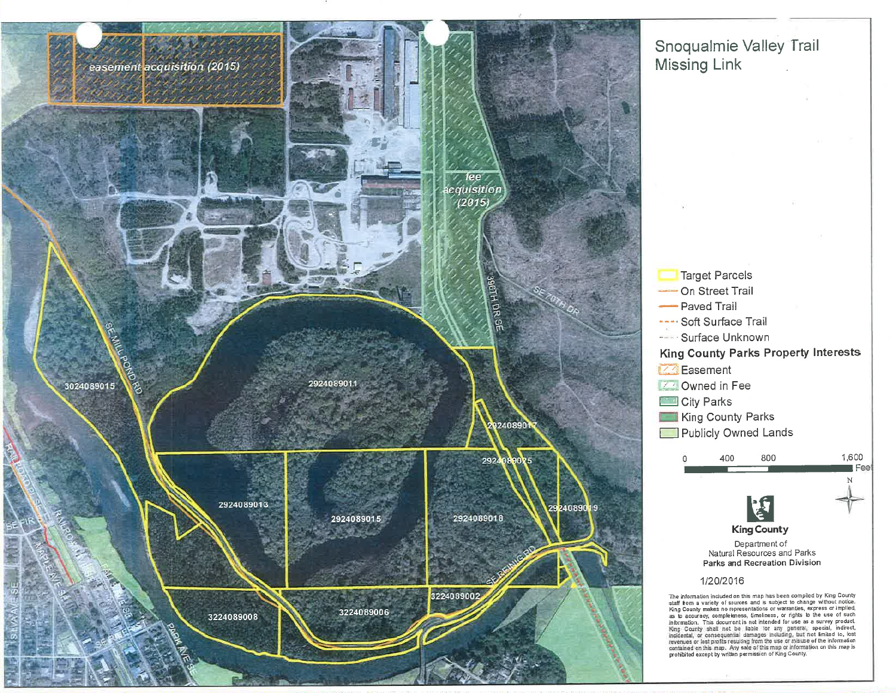